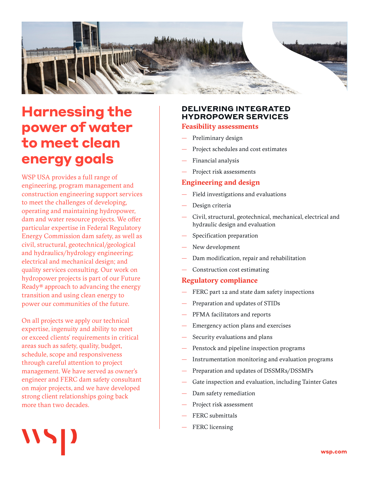

# **Harnessing the power of water to meet clean energy goals**

WSP USA provides a full range of engineering, program management and construction engineering support services to meet the challenges of developing, operating and maintaining hydropower, dam and water resource projects. We offer particular expertise in Federal Regulatory Energy Commission dam safety, as well as civil, structural, geotechnical/geological and hydraulics/hydrology engineering; electrical and mechanical design; and quality services consulting. Our work on hydropower projects is part of our Future Ready® approach to advancing the energy transition and using clean energy to power our communities of the future.

On all projects we apply our technical expertise, ingenuity and ability to meet or exceed clients' requirements in critical areas such as safety, quality, budget, schedule, scope and responsiveness through careful attention to project management. We have served as owner's engineer and FERC dam safety consultant on major projects, and we have developed strong client relationships going back more than two decades.

# **DELIVERING INTEGRATED HYDROPOWER SERVICES**

# **Feasibility assessments**

- Preliminary design
- Project schedules and cost estimates
- Financial analysis
- Project risk assessments

# **Engineering and design**

- Field investigations and evaluations
- Design criteria
- Civil, structural, geotechnical, mechanical, electrical and hydraulic design and evaluation
- Specification preparation
- New development
- Dam modification, repair and rehabilitation
- Construction cost estimating

#### **Regulatory compliance**

- FERC part 12 and state dam safety inspections
- Preparation and updates of STIDs
- PFMA facilitators and reports
- Emergency action plans and exercises
- Security evaluations and plans
- Penstock and pipeline inspection programs
- Instrumentation monitoring and evaluation programs
- Preparation and updates of DSSMRs/DSSMPs
- Gate inspection and evaluation, including Tainter Gates
- Dam safety remediation
- Project risk assessment
- FERC submittals
- FERC licensing